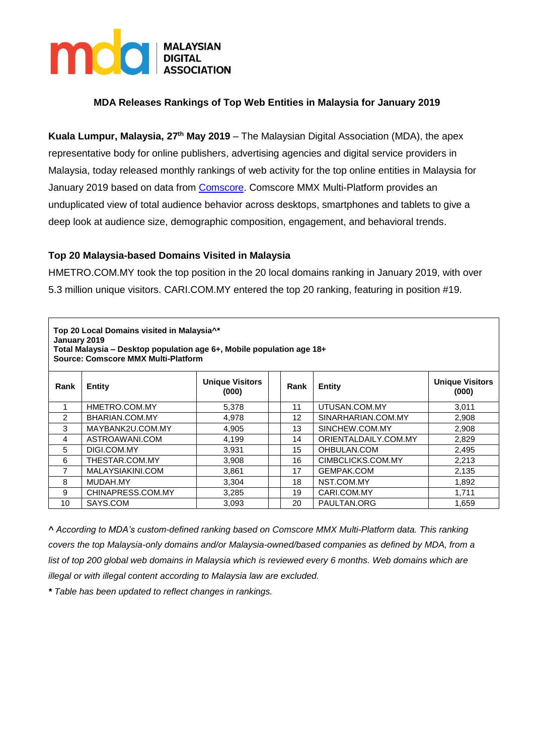

# **MDA Releases Rankings of Top Web Entities in Malaysia for January 2019**

**Kuala Lumpur, Malaysia, 27th May 2019** – The Malaysian Digital Association (MDA), the apex representative body for online publishers, advertising agencies and digital service providers in Malaysia, today released monthly rankings of web activity for the top online entities in Malaysia for January 2019 based on data from [Comscore.](https://www.comscore.com/Products/Ratings-and-Planning) Comscore MMX Multi-Platform provides an unduplicated view of total audience behavior across desktops, smartphones and tablets to give a deep look at audience size, demographic composition, engagement, and behavioral trends.

## **Top 20 Malaysia-based Domains Visited in Malaysia**

HMETRO.COM.MY took the top position in the 20 local domains ranking in January 2019, with over 5.3 million unique visitors. CARI.COM.MY entered the top 20 ranking, featuring in position #19.

| Top 20 Local Domains visited in Malaysia <sup>1*</sup><br>January 2019<br>Total Malaysia - Desktop population age 6+, Mobile population age 18+<br><b>Source: Comscore MMX Multi-Platform</b> |                   |                                 |  |      |                      |                                 |
|-----------------------------------------------------------------------------------------------------------------------------------------------------------------------------------------------|-------------------|---------------------------------|--|------|----------------------|---------------------------------|
| Rank                                                                                                                                                                                          | <b>Entity</b>     | <b>Unique Visitors</b><br>(000) |  | Rank | <b>Entity</b>        | <b>Unique Visitors</b><br>(000) |
|                                                                                                                                                                                               | HMETRO.COM.MY     | 5,378                           |  | 11   | UTUSAN.COM.MY        | 3,011                           |
| 2                                                                                                                                                                                             | BHARIAN.COM.MY    | 4,978                           |  | 12   | SINARHARIAN.COM.MY   | 2,908                           |
| 3                                                                                                                                                                                             | MAYBANK2U.COM.MY  | 4,905                           |  | 13   | SINCHEW.COM.MY       | 2,908                           |
| 4                                                                                                                                                                                             | ASTROAWANI.COM    | 4,199                           |  | 14   | ORIENTALDAILY.COM.MY | 2,829                           |
| 5                                                                                                                                                                                             | DIGI.COM.MY       | 3,931                           |  | 15   | OHBULAN.COM          | 2,495                           |
| 6                                                                                                                                                                                             | THESTAR.COM.MY    | 3,908                           |  | 16   | CIMBCLICKS.COM.MY    | 2,213                           |
| 7                                                                                                                                                                                             | MALAYSIAKINI.COM  | 3,861                           |  | 17   | GEMPAK.COM           | 2,135                           |
| 8                                                                                                                                                                                             | MUDAH.MY          | 3,304                           |  | 18   | NST.COM.MY           | 1,892                           |
| 9                                                                                                                                                                                             | CHINAPRESS.COM.MY | 3,285                           |  | 19   | CARI.COM.MY          | 1,711                           |
| 10                                                                                                                                                                                            | SAYS.COM          | 3,093                           |  | 20   | PAULTAN.ORG          | 1,659                           |

*^ According to MDA's custom-defined ranking based on Comscore MMX Multi-Platform data. This ranking covers the top Malaysia-only domains and/or Malaysia-owned/based companies as defined by MDA, from a list of top 200 global web domains in Malaysia which is reviewed every 6 months. Web domains which are illegal or with illegal content according to Malaysia law are excluded.*

*\* Table has been updated to reflect changes in rankings.*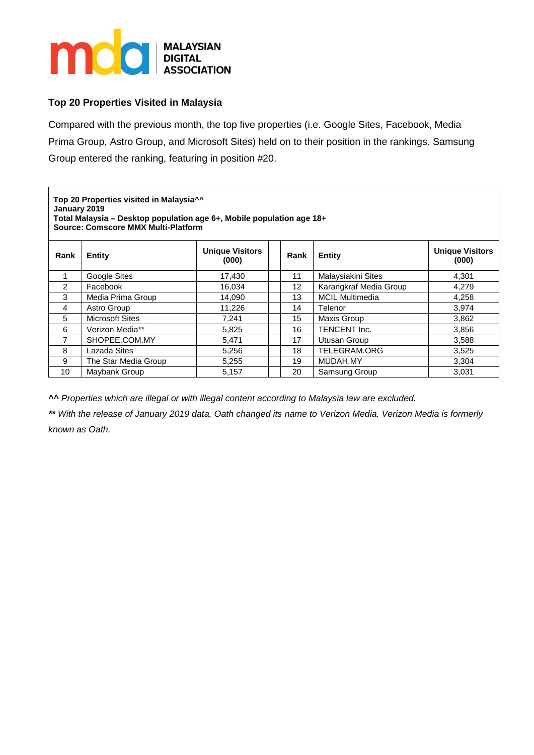

## **Top 20 Properties Visited in Malaysia**

Compared with the previous month, the top five properties (i.e. Google Sites, Facebook, Media Prima Group, Astro Group, and Microsoft Sites) held on to their position in the rankings. Samsung Group entered the ranking, featuring in position #20.

**Top 20 Properties visited in Malaysia^^ January 2019 Total Malaysia – Desktop population age 6+, Mobile population age 18+ Source: Comscore MMX Multi-Platform**

| Rank          | Entity                 | <b>Unique Visitors</b><br>(000) | Rank | <b>Entity</b>          | <b>Unique Visitors</b><br>(000) |
|---------------|------------------------|---------------------------------|------|------------------------|---------------------------------|
|               | Google Sites           | 17,430                          | 11   | Malaysiakini Sites     | 4,301                           |
| $\mathcal{P}$ | Facebook               | 16.034                          | 12   | Karangkraf Media Group | 4,279                           |
| 3             | Media Prima Group      | 14,090                          | 13   | <b>MCIL Multimedia</b> | 4,258                           |
| 4             | Astro Group            | 11.226                          | 14   | Telenor                | 3.974                           |
| 5             | <b>Microsoft Sites</b> | 7.241                           | 15   | Maxis Group            | 3,862                           |
| 6             | Verizon Media**        | 5,825                           | 16   | TENCENT Inc.           | 3,856                           |
| 7             | SHOPEE.COM.MY          | 5,471                           | 17   | Utusan Group           | 3,588                           |
| 8             | Lazada Sites           | 5,256                           | 18   | TELEGRAM.ORG           | 3,525                           |
| 9             | The Star Media Group   | 5.255                           | 19   | MUDAH.MY               | 3,304                           |
| 10            | Maybank Group          | 5,157                           | 20   | Samsung Group          | 3,031                           |

*^^ Properties which are illegal or with illegal content according to Malaysia law are excluded.*

*\*\* With the release of January 2019 data, Oath changed its name to Verizon Media. Verizon Media is formerly known as Oath.*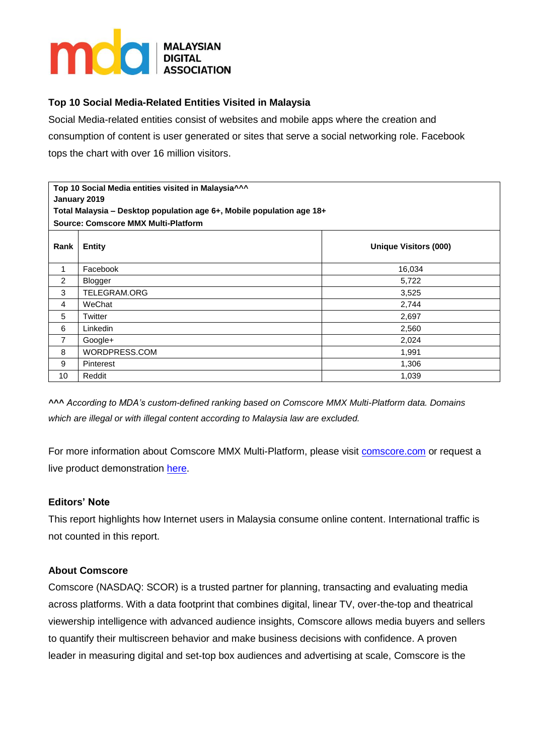

# **Top 10 Social Media-Related Entities Visited in Malaysia**

Social Media-related entities consist of websites and mobile apps where the creation and consumption of content is user generated or sites that serve a social networking role. Facebook tops the chart with over 16 million visitors.

| Top 10 Social Media entities visited in Malaysia^^^<br>January 2019<br>Total Malaysia - Desktop population age 6+, Mobile population age 18+ |               |                              |  |  |  |
|----------------------------------------------------------------------------------------------------------------------------------------------|---------------|------------------------------|--|--|--|
| Source: Comscore MMX Multi-Platform                                                                                                          |               |                              |  |  |  |
| Rank                                                                                                                                         | <b>Entity</b> | <b>Unique Visitors (000)</b> |  |  |  |
| 1                                                                                                                                            | Facebook      | 16,034                       |  |  |  |
| $\overline{2}$                                                                                                                               | Blogger       | 5,722                        |  |  |  |
| 3                                                                                                                                            | TELEGRAM.ORG  | 3,525                        |  |  |  |
| 4                                                                                                                                            | WeChat        | 2,744                        |  |  |  |
| 5                                                                                                                                            | Twitter       | 2,697                        |  |  |  |
| 6                                                                                                                                            | Linkedin      | 2,560                        |  |  |  |
| 7                                                                                                                                            | Google+       | 2,024                        |  |  |  |
| 8                                                                                                                                            | WORDPRESS.COM | 1,991                        |  |  |  |
| 9                                                                                                                                            | Pinterest     | 1,306                        |  |  |  |
| 10                                                                                                                                           | Reddit        | 1,039                        |  |  |  |

*^^^ According to MDA's custom-defined ranking based on Comscore MMX Multi-Platform data. Domains which are illegal or with illegal content according to Malaysia law are excluded.*

For more information about Comscore MMX Multi-Platform, please visit [comscore.com](https://www.comscore.com/Products/Ratings-and-Planning/Media-Ratings) or request a live product demonstration [here.](http://www.comscore.com/layout/set/popup/Request/Demos/comScore-Media-Metrix-Suite-Demo-Request)

## **Editors' Note**

This report highlights how Internet users in Malaysia consume online content. International traffic is not counted in this report.

## **About Comscore**

Comscore (NASDAQ: SCOR) is a trusted partner for planning, transacting and evaluating media across platforms. With a data footprint that combines digital, linear TV, over-the-top and theatrical viewership intelligence with advanced audience insights, Comscore allows media buyers and sellers to quantify their multiscreen behavior and make business decisions with confidence. A proven leader in measuring digital and set-top box audiences and advertising at scale, Comscore is the